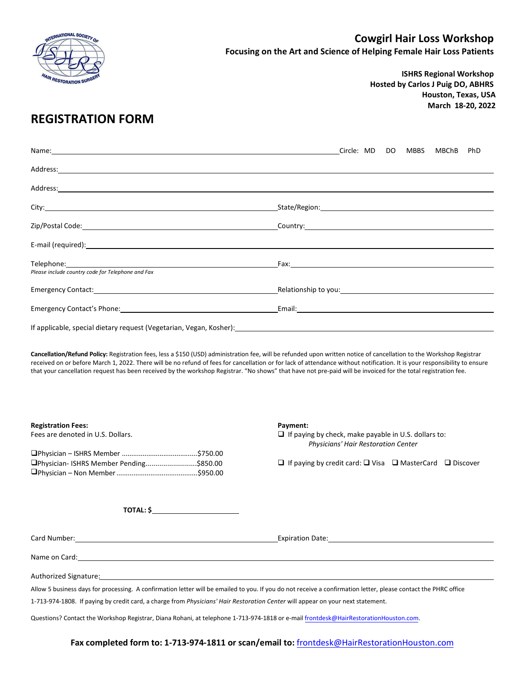

**ISHRS Regional Workshop Hosted by Carlos J Puig DO, ABHRS Houston, Texas, USA March 18-20, 2022**

## **REGISTRATION FORM**

|                                                                                                                                                                                                                                                                                           | Circle: MD DO MBBS<br>PhD<br>MBChB                                                                                                                                                                                             |
|-------------------------------------------------------------------------------------------------------------------------------------------------------------------------------------------------------------------------------------------------------------------------------------------|--------------------------------------------------------------------------------------------------------------------------------------------------------------------------------------------------------------------------------|
|                                                                                                                                                                                                                                                                                           |                                                                                                                                                                                                                                |
|                                                                                                                                                                                                                                                                                           |                                                                                                                                                                                                                                |
|                                                                                                                                                                                                                                                                                           |                                                                                                                                                                                                                                |
|                                                                                                                                                                                                                                                                                           |                                                                                                                                                                                                                                |
|                                                                                                                                                                                                                                                                                           |                                                                                                                                                                                                                                |
| Telephone: <u>www.community.com and the contract of the contract of the contract of the contract of the contract of the contract of the contract of the contract of the contract of the contract of the contract of the contract</u><br>Please include country code for Telephone and Fax | Fax: The contract of the contract of the contract of the contract of the contract of the contract of the contract of the contract of the contract of the contract of the contract of the contract of the contract of the contr |
|                                                                                                                                                                                                                                                                                           |                                                                                                                                                                                                                                |
|                                                                                                                                                                                                                                                                                           |                                                                                                                                                                                                                                |
| If applicable, special dietary request (Vegetarian, Vegan, Kosher):                                                                                                                                                                                                                       |                                                                                                                                                                                                                                |

**Cancellation/Refund Policy:** Registration fees, less a \$150 (USD) administration fee, will be refunded upon written notice of cancellation to the Workshop Registrar received on or before March 1, 2022. There will be no refund of fees for cancellation or for lack of attendance without notification. It is your responsibility to ensure that your cancellation request has been received by the workshop Registrar. "No shows" that have not pre-paid will be invoiced for the total registration fee.

| <b>Registration Fees:</b>                                                                                                                                                                                                            | Payment:                                                                                                       |
|--------------------------------------------------------------------------------------------------------------------------------------------------------------------------------------------------------------------------------------|----------------------------------------------------------------------------------------------------------------|
| Fees are denoted in U.S. Dollars.                                                                                                                                                                                                    | $\Box$ If paying by check, make payable in U.S. dollars to:<br>Physicians' Hair Restoration Center             |
|                                                                                                                                                                                                                                      |                                                                                                                |
| □Physician-ISHRS Member Pending\$850.00                                                                                                                                                                                              | $\Box$ If paying by credit card: $\Box$ Visa $\Box$ MasterCard $\Box$ Discover                                 |
|                                                                                                                                                                                                                                      |                                                                                                                |
|                                                                                                                                                                                                                                      |                                                                                                                |
| $\overline{ \text{TOTAL}: }$ \$                                                                                                                                                                                                      |                                                                                                                |
|                                                                                                                                                                                                                                      | Expiration Date: Cambridge Contract Contract Contract Contract Contract Contract Contract Contract Contract Co |
| Name on Card: <u>example and a series of the series of the series of the series of the series of the series of the series of the series of the series of the series of the series of the series of the series of the series of t</u> |                                                                                                                |
| Authorized Signature: Authorized Signature: Authorized Signature: Authorized Signature: Authorized Signature:                                                                                                                        |                                                                                                                |
| Allow 5 business days for processing. A confirmation letter will be emailed to you. If you do not receive a confirmation letter, please contact the PHRC office                                                                      |                                                                                                                |
| 1-713-974-1808. If paying by credit card, a charge from Physicians' Hair Restoration Center will appear on your next statement.                                                                                                      |                                                                                                                |
| Questions? Contact the Workshop Registrar, Diana Rohani, at telephone 1-713-974-1818 or e-mail frontdesk@HairRestorationHouston.com.                                                                                                 |                                                                                                                |

**Fax completed form to: 1-713-974-1811 or scan/email to:** [frontdesk@HairRestorationHouston.com](mailto:frontdesk@HairRestorationHouston.com)